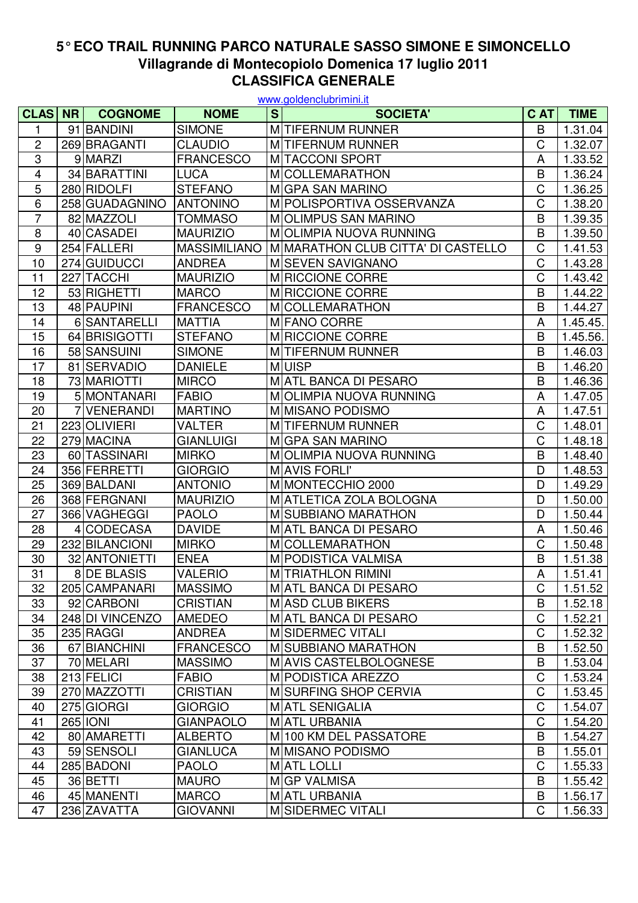## **5° ECO TRAIL RUNNING PARCO NATURALE SASSO SIMONE E SIMONCELLO CLASSIFICA GENERALE Villagrande di Montecopiolo Domenica 17 luglio 2011**

| www.goldenclubrimini.it |           |                 |                     |   |                                    |              |             |  |
|-------------------------|-----------|-----------------|---------------------|---|------------------------------------|--------------|-------------|--|
| <b>CLAS</b>             | <b>NR</b> | <b>COGNOME</b>  | <b>NOME</b>         | S | <b>SOCIETA'</b>                    | C AT         | <b>TIME</b> |  |
| 1                       |           | 91 BANDINI      | <b>SIMONE</b>       |   | M TIFERNUM RUNNER                  | B            | 1.31.04     |  |
| 2                       |           | 269 BRAGANTI    | <b>CLAUDIO</b>      |   | M TIFERNUM RUNNER                  | C            | 1.32.07     |  |
| 3                       |           | 9 MARZI         | <b>FRANCESCO</b>    |   | MITACCONI SPORT                    | A            | 1.33.52     |  |
| 4                       |           | 34 BARATTINI    | <b>LUCA</b>         |   | <b>MICOLLEMARATHON</b>             | B            | 1.36.24     |  |
| 5                       |           | 280 RIDOLFI     | <b>STEFANO</b>      |   | MGPA SAN MARINO                    | C            | 1.36.25     |  |
| 6                       |           | 258 GUADAGNINO  | <b>ANTONINO</b>     |   | M POLISPORTIVA OSSERVANZA          | C            | 1.38.20     |  |
| $\overline{7}$          |           | 82 MAZZOLI      | <b>TOMMASO</b>      |   | MOLIMPUS SAN MARINO                | B            | 1.39.35     |  |
| 8                       |           | 40 CASADEI      | <b>MAURIZIO</b>     |   | MOLIMPIA NUOVA RUNNING             | B            | 1.39.50     |  |
| 9                       |           | 254 FALLERI     | <b>MASSIMILIANO</b> |   | MIMARATHON CLUB CITTA' DI CASTELLO | C            | 1.41.53     |  |
| 10                      |           | 274 GUIDUCCI    | <b>ANDREA</b>       |   | MISEVEN SAVIGNANO                  | C            | 1.43.28     |  |
| 11                      |           | 227 TACCHI      | <b>MAURIZIO</b>     |   | M RICCIONE CORRE                   | C            | 1.43.42     |  |
| 12                      |           | 53 RIGHETTI     | <b>MARCO</b>        |   | M RICCIONE CORRE                   | B            | 1.44.22     |  |
| 13                      |           | 48 PAUPINI      | <b>FRANCESCO</b>    |   | M COLLEMARATHON                    | B            | 1.44.27     |  |
| 14                      |           | 6 SANTARELLI    | <b>MATTIA</b>       |   | M FANO CORRE                       | A            | 1.45.45.    |  |
| 15                      |           | 64 BRISIGOTTI   | <b>STEFANO</b>      |   | M RICCIONE CORRE                   | B            | 1.45.56.    |  |
| 16                      |           | 58 SANSUINI     | <b>SIMONE</b>       |   | MITIFERNUM RUNNER                  | B            | 1.46.03     |  |
| 17                      |           | 81 SERVADIO     | <b>DANIELE</b>      |   | <b>MUISP</b>                       | B            | 1.46.20     |  |
| 18                      |           | 73 MARIOTTI     | <b>MIRCO</b>        |   | MATL BANCA DI PESARO               | B            | 1.46.36     |  |
| 19                      |           | 5 MONTANARI     | <b>FABIO</b>        |   | MOLIMPIA NUOVA RUNNING             | A            | 1.47.05     |  |
| 20                      |           | 7 VENERANDI     | <b>MARTINO</b>      |   | M MISANO PODISMO                   | A            | 1.47.51     |  |
| 21                      |           | 223 OLIVIERI    | <b>VALTER</b>       |   | M TIFERNUM RUNNER                  | C            | 1.48.01     |  |
| 22                      |           | 279 MACINA      | <b>GIANLUIGI</b>    |   | MGPA SAN MARINO                    | C            | 1.48.18     |  |
| 23                      |           | 60 TASSINARI    | <b>MIRKO</b>        |   | MOLIMPIA NUOVA RUNNING             | B            | 1.48.40     |  |
| 24                      |           | 356 FERRETTI    | <b>GIORGIO</b>      |   | MAVIS FORLI'                       | D            | 1.48.53     |  |
| 25                      |           | 369 BALDANI     | <b>ANTONIO</b>      |   | M MONTECCHIO 2000                  | D            | 1.49.29     |  |
| 26                      |           | 368 FERGNANI    | <b>MAURIZIO</b>     |   | M ATLETICA ZOLA BOLOGNA            | D            | 1.50.00     |  |
| 27                      |           | 366 VAGHEGGI    | <b>PAOLO</b>        |   | M SUBBIANO MARATHON                | D            | 1.50.44     |  |
| 28                      |           | 4 CODECASA      | <b>DAVIDE</b>       |   | MATL BANCA DI PESARO               | A            | 1.50.46     |  |
| 29                      |           | 232 BILANCIONI  | <b>MIRKO</b>        |   | <b>M</b> COLLEMARATHON             | C            | 1.50.48     |  |
| 30                      |           | 32 ANTONIETTI   | <b>ENEA</b>         |   | M PODISTICA VALMISA                | B            | 1.51.38     |  |
| 31                      |           | 8 DE BLASIS     | <b>VALERIO</b>      |   | <b>M</b> TRIATHLON RIMINI          | A            | 1.51.41     |  |
| 32                      |           | 205 CAMPANARI   | <b>MASSIMO</b>      |   | MATL BANCA DI PESARO               | C            | 1.51.52     |  |
| 33                      |           | 92 CARBONI      | <b>CRISTIAN</b>     |   | MASD CLUB BIKERS                   | B            | 1.52.18     |  |
| 34                      |           | 248 DI VINCENZO | <b>AMEDEO</b>       |   | MATL BANCA DI PESARO               | $\mathsf C$  | 1.52.21     |  |
| 35                      |           | 235 RAGGI       | <b>ANDREA</b>       |   | M SIDERMEC VITALI                  | $\mathsf C$  | 1.52.32     |  |
| 36                      |           | 67 BIANCHINI    | <b>FRANCESCO</b>    |   | M SUBBIANO MARATHON                | B            | 1.52.50     |  |
| 37                      |           | 70 MELARI       | <b>MASSIMO</b>      |   | MAVIS CASTELBOLOGNESE              | B            | 1.53.04     |  |
| 38                      |           | 213 FELICI      | <b>FABIO</b>        |   | M PODISTICA AREZZO                 | C            | 1.53.24     |  |
| 39                      |           | 270 MAZZOTTI    | <b>CRISTIAN</b>     |   | MISURFING SHOP CERVIA              | C            | 1.53.45     |  |
| 40                      |           | 275 GIORGI      | <b>GIORGIO</b>      |   | MATL SENIGALIA                     | C            | 1.54.07     |  |
| 41                      |           | 265 IONI        | <b>GIANPAOLO</b>    |   | MATL URBANIA                       | $\mathsf C$  | 1.54.20     |  |
| 42                      |           | 80 AMARETTI     | <b>ALBERTO</b>      |   | M 100 KM DEL PASSATORE             | B            | 1.54.27     |  |
| 43                      |           | 59 SENSOLI      | <b>GIANLUCA</b>     |   | M MISANO PODISMO                   | B            | 1.55.01     |  |
| 44                      |           | 285 BADONI      | <b>PAOLO</b>        |   | MATL LOLLI                         | $\mathsf C$  | 1.55.33     |  |
| 45                      |           | 36 BETTI        | <b>MAURO</b>        |   | MGP VALMISA                        | B            | 1.55.42     |  |
| 46                      |           | 45 MANENTI      | <b>MARCO</b>        |   | MATL URBANIA                       | B            | 1.56.17     |  |
| 47                      |           | 236 ZAVATTA     | <b>GIOVANNI</b>     |   | M SIDERMEC VITALI                  | $\mathsf{C}$ | 1.56.33     |  |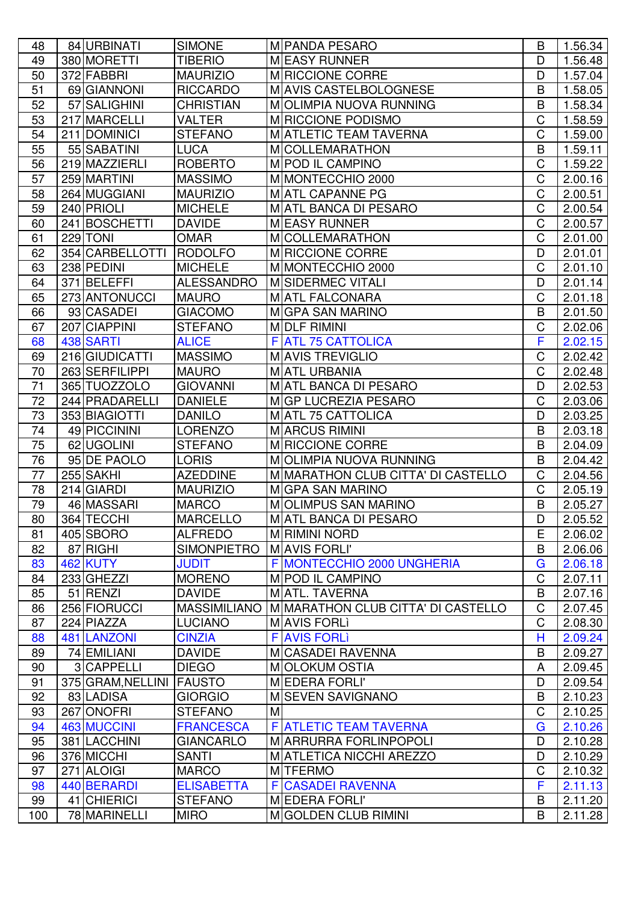| 48              | 84 URBINATI        | <b>SIMONE</b>       | M PANDA PESARO                     | B              | 1.56.34 |
|-----------------|--------------------|---------------------|------------------------------------|----------------|---------|
| 49              | 380 MORETTI        | <b>TIBERIO</b>      | <b>MEASY RUNNER</b>                | D              | 1.56.48 |
| 50              | 372 FABBRI         | <b>MAURIZIO</b>     | M RICCIONE CORRE                   | D              | 1.57.04 |
| 51              | 69 GIANNONI        | <b>RICCARDO</b>     | MAVIS CASTELBOLOGNESE              | B              | 1.58.05 |
| 52              | 57 SALIGHINI       | <b>CHRISTIAN</b>    | MOLIMPIA NUOVA RUNNING             | B              | 1.58.34 |
| 53              | 217 MARCELLI       | <b>VALTER</b>       | M RICCIONE PODISMO                 | C              | 1.58.59 |
| 54              | 211 DOMINICI       | <b>STEFANO</b>      | MATLETIC TEAM TAVERNA              | C              | 1.59.00 |
| 55              | 55 SABATINI        | <b>LUCA</b>         | <b>M</b> COLLEMARATHON             | B              | 1.59.11 |
| 56              | 219 MAZZIERLI      | <b>ROBERTO</b>      | M POD IL CAMPINO                   | C              | 1.59.22 |
| 57              | 259 MARTINI        | <b>MASSIMO</b>      | M MONTECCHIO 2000                  | C              | 2.00.16 |
| 58              | 264 MUGGIANI       | <b>MAURIZIO</b>     | MATL CAPANNE PG                    | C              | 2.00.51 |
| 59              | 240 PRIOLI         | <b>MICHELE</b>      | MATL BANCA DI PESARO               | C              | 2.00.54 |
| 60              | 241 BOSCHETTI      | <b>DAVIDE</b>       | MEASY RUNNER                       | C              | 2.00.57 |
| 61              | 229 TONI           | <b>OMAR</b>         | <b>M</b> COLLEMARATHON             | C              | 2.01.00 |
| 62              | 354 CARBELLOTTI    | <b>RODOLFO</b>      | M RICCIONE CORRE                   | D              | 2.01.01 |
| 63              | 238 PEDINI         | <b>MICHELE</b>      | M MONTECCHIO 2000                  | C              | 2.01.10 |
| 64              | 371 BELEFFI        | <b>ALESSANDRO</b>   | M SIDERMEC VITALI                  | D              | 2.01.14 |
| 65              | 273 ANTONUCCI      | <b>MAURO</b>        | <b>MATL FALCONARA</b>              | C              | 2.01.18 |
| 66              | 93 CASADEI         | <b>GIACOMO</b>      | MGPA SAN MARINO                    | B              | 2.01.50 |
| 67              | 207 CIAPPINI       | <b>STEFANO</b>      | MOLF RIMINI                        | C              | 2.02.06 |
| 68              | 438 SARTI          | <b>ALICE</b>        | <b>F ATL 75 CATTOLICA</b>          | F              | 2.02.15 |
| 69              | 216 GIUDICATTI     | <b>MASSIMO</b>      | MAVIS TREVIGLIO                    | C              | 2.02.42 |
| 70              | 263 SERFILIPPI     | <b>MAURO</b>        | MATL URBANIA                       | C              | 2.02.48 |
| 71              | 365 TUOZZOLO       | <b>GIOVANNI</b>     | MATL BANCA DI PESARO               | D              | 2.02.53 |
| 72              | 244 PRADARELLI     | <b>DANIELE</b>      | MGP LUCREZIA PESARO                | C              | 2.03.06 |
| 73              | 353 BIAGIOTTI      | <b>DANILO</b>       | MATL 75 CATTOLICA                  | D              | 2.03.25 |
| 74              | 49 PICCININI       | <b>LORENZO</b>      | MARCUS RIMINI                      | B              | 2.03.18 |
| 75              | 62 UGOLINI         | <b>STEFANO</b>      | M RICCIONE CORRE                   | B              | 2.04.09 |
| 76              | 95 DE PAOLO        | <b>LORIS</b>        | MOLIMPIA NUOVA RUNNING             | B              | 2.04.42 |
| 77              | 255 SAKHI          | <b>AZEDDINE</b>     | M MARATHON CLUB CITTA' DI CASTELLO | C              | 2.04.56 |
| 78              | 214 GIARDI         | <b>MAURIZIO</b>     | MGPA SAN MARINO                    | C              | 2.05.19 |
| 79              | 46 MASSARI         | <b>MARCO</b>        | MOLIMPUS SAN MARINO                | B              | 2.05.27 |
| $\overline{80}$ | 364 TECCHI         | <b>MARCELLO</b>     | MATL BANCA DI PESARO               | $\overline{D}$ | 2.05.52 |
| 81              | 405 SBORO          | <b>ALFREDO</b>      | <b>MRIMINI NORD</b>                | E              | 2.06.02 |
| 82              | 87 RIGHI           | <b>SIMONPIETRO</b>  | MAVIS FORLI'                       | B              | 2.06.06 |
| 83              | <b>462 KUTY</b>    | <b>JUDIT</b>        | F MONTECCHIO 2000 UNGHERIA         | G              | 2.06.18 |
| 84              | 233 GHEZZI         | <b>MORENO</b>       | M POD IL CAMPINO                   | C              | 2.07.11 |
| 85              | 51 RENZI           | <b>DAVIDE</b>       | MATL. TAVERNA                      | B              | 2.07.16 |
| 86              | 256 FIORUCCI       | <b>MASSIMILIANO</b> | M MARATHON CLUB CITTA' DI CASTELLO | C              | 2.07.45 |
| 87              | 224 PIAZZA         | <b>LUCIANO</b>      | MAVIS FORLI                        | $\mathsf C$    | 2.08.30 |
| 88              | <b>481 LANZONI</b> | <b>CINZIA</b>       | <b>F AVIS FORLI</b>                | Н              | 2.09.24 |
| 89              | 74 EMILIANI        | <b>DAVIDE</b>       | MCASADEI RAVENNA                   | B              | 2.09.27 |
| 90              | 3 CAPPELLI         | <b>DIEGO</b>        | MOLOKUM OSTIA                      | A              | 2.09.45 |
| 91              | 375 GRAM, NELLINI  | <b>FAUSTO</b>       | MEDERA FORLI'                      | D              | 2.09.54 |
| 92              | 83 LADISA          | <b>GIORGIO</b>      | MISEVEN SAVIGNANO                  | B              | 2.10.23 |
| 93              | 267 ONOFRI         | <b>STEFANO</b>      | M                                  | C              | 2.10.25 |
| 94              | <b>463 MUCCINI</b> | <b>FRANCESCA</b>    | F ATLETIC TEAM TAVERNA             | G              | 2.10.26 |
| 95              | 381 LACCHINI       | <b>GIANCARLO</b>    | MARRURRA FORLINPOPOLI              | D              | 2.10.28 |
| 96              | 376 MICCHI         | <b>SANTI</b>        | MATLETICA NICCHI AREZZO            | D              | 2.10.29 |
| 97              | 271 ALOIGI         | <b>MARCO</b>        | <b>MITFERMO</b>                    | $\mathsf C$    | 2.10.32 |
| 98              | 440 BERARDI        | <b>ELISABETTA</b>   | F<br><b>CASADEI RAVENNA</b>        | F              | 2.11.13 |
| 99              | 41 CHIERICI        | <b>STEFANO</b>      | MEDERA FORLI'                      | B              | 2.11.20 |
| 100             | 78 MARINELLI       | <b>MIRO</b>         | MGOLDEN CLUB RIMINI                | B              | 2.11.28 |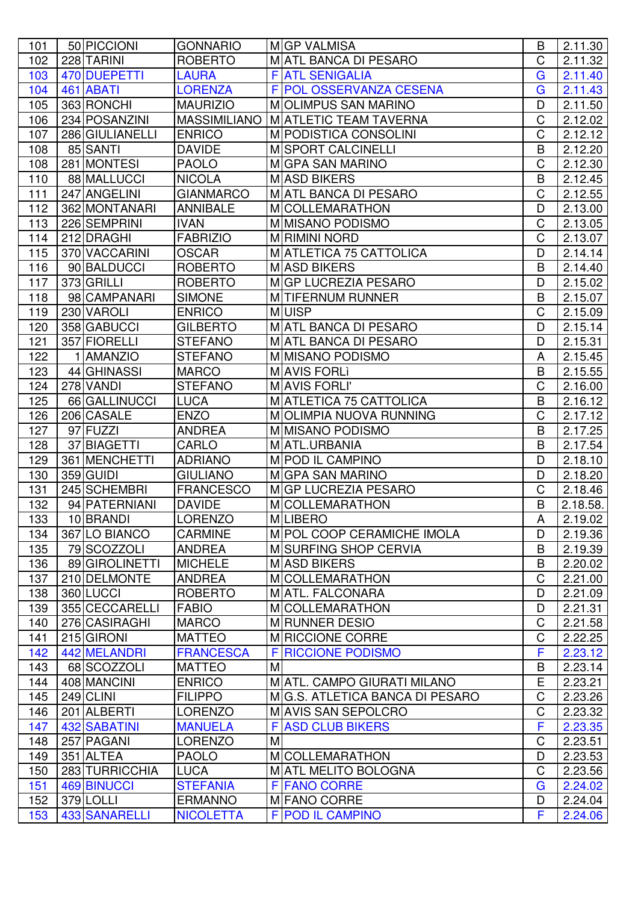| 101              | 50 PICCIONI     | <b>GONNARIO</b>     |   | MGP VALMISA                    | B           | 2.11.30  |
|------------------|-----------------|---------------------|---|--------------------------------|-------------|----------|
| 102              | 228 TARINI      | <b>ROBERTO</b>      |   | MATL BANCA DI PESARO           | C           | 2.11.32  |
| 103              | 470 DUEPETTI    | <b>LAURA</b>        |   | <b>F ATL SENIGALIA</b>         | G           | 2.11.40  |
| 104              | 461 ABATI       | <b>LORENZA</b>      |   | F POL OSSERVANZA CESENA        | G           | 2.11.43  |
| 105              | 363 RONCHI      | <b>MAURIZIO</b>     |   | MOLIMPUS SAN MARINO            | D           | 2.11.50  |
| 106              | 234 POSANZINI   | <b>MASSIMILIANO</b> |   | MATLETIC TEAM TAVERNA          | C           | 2.12.02  |
| 107              | 286 GIULIANELLI | <b>ENRICO</b>       |   | M PODISTICA CONSOLINI          | C           | 2.12.12  |
| 108              | 85 SANTI        | <b>DAVIDE</b>       |   | M SPORT CALCINELLI             | B           | 2.12.20  |
| 108              | 281 MONTESI     | <b>PAOLO</b>        |   | MGPA SAN MARINO                | C           | 2.12.30  |
| 110              | 88 MALLUCCI     | <b>NICOLA</b>       |   | MASD BIKERS                    | B           | 2.12.45  |
| 111              | 247 ANGELINI    | <b>GIANMARCO</b>    |   | MATL BANCA DI PESARO           | C           | 2.12.55  |
| 112              | 362 MONTANARI   | <b>ANNIBALE</b>     |   | <b>M</b> COLLEMARATHON         | D           | 2.13.00  |
| $\overline{1}13$ | 226 SEMPRINI    | <b>IVAN</b>         |   | M MISANO PODISMO               | C           | 2.13.05  |
| 114              | 212 DRAGHI      | <b>FABRIZIO</b>     |   | <b>MRIMINI NORD</b>            | C           | 2.13.07  |
| 115              | 370 VACCARINI   | <b>OSCAR</b>        |   | MATLETICA 75 CATTOLICA         | D           | 2.14.14  |
| 116              | 90 BALDUCCI     | <b>ROBERTO</b>      |   | MASD BIKERS                    | B           | 2.14.40  |
| 117              | 373 GRILLI      | <b>ROBERTO</b>      |   | MGP LUCREZIA PESARO            | D           | 2.15.02  |
| 118              | 98 CAMPANARI    | <b>SIMONE</b>       |   | M TIFERNUM RUNNER              | B           | 2.15.07  |
| 119              | 230 VAROLI      | <b>ENRICO</b>       |   | MUISP                          | C           | 2.15.09  |
| 120              | 358 GABUCCI     | <b>GILBERTO</b>     |   | MATL BANCA DI PESARO           | D           | 2.15.14  |
| 121              | 357 FIORELLI    | <b>STEFANO</b>      |   | MATL BANCA DI PESARO           | D           | 2.15.31  |
| 122              | 1 AMANZIO       | <b>STEFANO</b>      |   | M MISANO PODISMO               | A           | 2.15.45  |
| 123              | 44 GHINASSI     | <b>MARCO</b>        |   | MAVIS FORLI                    | B           | 2.15.55  |
| 124              | 278 VANDI       | <b>STEFANO</b>      |   | MAVIS FORLI'                   | C           | 2.16.00  |
| 125              | 66 GALLINUCCI   | <b>LUCA</b>         |   | MATLETICA 75 CATTOLICA         | B           | 2.16.12  |
| 126              | 206 CASALE      | <b>ENZO</b>         |   | MOLIMPIA NUOVA RUNNING         | C           | 2.17.12  |
| 127              | 97 FUZZI        | <b>ANDREA</b>       |   | M MISANO PODISMO               | B           | 2.17.25  |
| 128              | 37 BIAGETTI     | <b>CARLO</b>        |   | MATL.URBANIA                   | B           | 2.17.54  |
| 129              | 361 MENCHETTI   | <b>ADRIANO</b>      |   | M POD IL CAMPINO               | D           | 2.18.10  |
| 130              | 359 GUIDI       | <b>GIULIANO</b>     |   | MGPA SAN MARINO                | D           | 2.18.20  |
| 131              | 245 SCHEMBRI    | <b>FRANCESCO</b>    |   | MIGP LUCREZIA PESARO           | C           | 2.18.46  |
| 132              | 94 PATERNIANI   | <b>DAVIDE</b>       |   | <b>M</b> COLLEMARATHON         | B           | 2.18.58. |
| 133              | 10 BRANDI       | LORENZO             |   | M LIBERO                       | A           | 2.19.02  |
| 134              | 367 LO BIANCO   | <b>CARMINE</b>      |   | M POL COOP CERAMICHE IMOLA     | D           | 2.19.36  |
| 135              | 79 SCOZZOLI     | <b>ANDREA</b>       |   | MISURFING SHOP CERVIA          | B           | 2.19.39  |
| 136              | 89 GIROLINETTI  | <b>MICHELE</b>      |   | MASD BIKERS                    | B           | 2.20.02  |
| 137              | 210 DELMONTE    | <b>ANDREA</b>       |   | <b>M</b> COLLEMARATHON         | $\mathsf C$ | 2.21.00  |
| 138              | 360 LUCCI       | <b>ROBERTO</b>      |   | MATL. FALCONARA                | D           | 2.21.09  |
| 139              | 355 CECCARELLI  | <b>FABIO</b>        |   | MCOLLEMARATHON                 | D           | 2.21.31  |
| 140              | 276 CASIRAGHI   | <b>MARCO</b>        |   | M RUNNER DESIO                 | C           | 2.21.58  |
| 141              | 215 GIRONI      | <b>MATTEO</b>       |   | M RICCIONE CORRE               | C           | 2.22.25  |
| 142              | 442 MELANDRI    | <b>FRANCESCA</b>    | F | <b>RICCIONE PODISMO</b>        | F           | 2.23.12  |
| 143              | 68 SCOZZOLI     | <b>MATTEO</b>       | M |                                | B           | 2.23.14  |
| 144              | 408 MANCINI     | <b>ENRICO</b>       |   | MATL. CAMPO GIURATI MILANO     | E           | 2.23.21  |
| 145              | 249 CLINI       | <b>FILIPPO</b>      |   | MG.S. ATLETICA BANCA DI PESARO | C           | 2.23.26  |
| 146              | 201 ALBERTI     | <b>LORENZO</b>      |   | MAVIS SAN SEPOLCRO             | C           | 2.23.32  |
| 147              | 432 SABATINI    | <b>MANUELA</b>      |   | <b>F ASD CLUB BIKERS</b>       | F           | 2.23.35  |
| 148              | 257 PAGANI      | <b>LORENZO</b>      | M |                                | C           | 2.23.51  |
| 149              | 351 ALTEA       | <b>PAOLO</b>        |   | <b>M</b> COLLEMARATHON         | D           | 2.23.53  |
| 150              | 283 TURRICCHIA  | <b>LUCA</b>         |   | <b>MATL MELITO BOLOGNA</b>     | $\mathsf C$ | 2.23.56  |
| 151              | 469 BINUCCI     | <b>STEFANIA</b>     |   | <b>F FANO CORRE</b>            | G           | 2.24.02  |
| 152              | 379 LOLLI       | <b>ERMANNO</b>      |   | MFANO CORRE                    | D           | 2.24.04  |
| 153              | 433 SANARELLI   | <b>NICOLETTA</b>    |   | <b>F POD IL CAMPINO</b>        | F           | 2.24.06  |
|                  |                 |                     |   |                                |             |          |